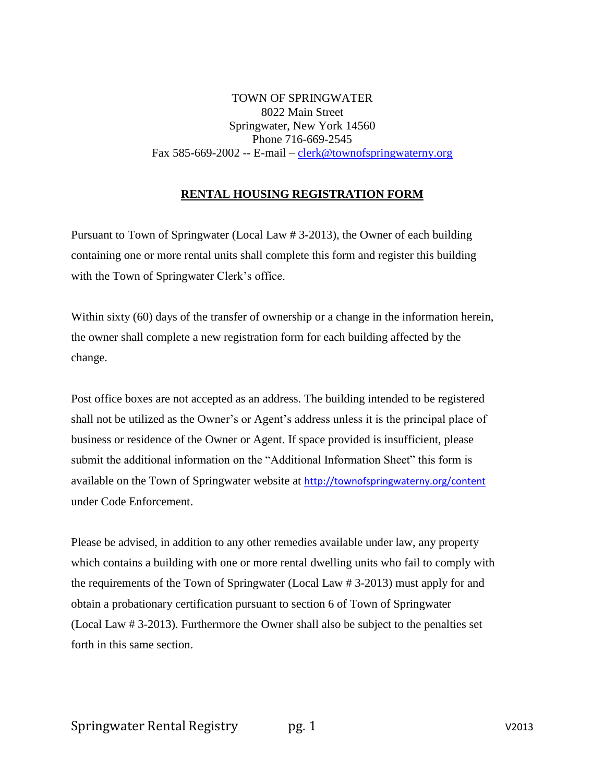TOWN OF SPRINGWATER 8022 Main Street Springwater, New York 14560 Phone 716-669-2545 Fax 585-669-2002 -- E-mail – [clerk@townofspringwaterny.org](mailto:clerk@townofspringwaterny.org)

#### **RENTAL HOUSING REGISTRATION FORM**

Pursuant to Town of Springwater (Local Law # 3-2013), the Owner of each building containing one or more rental units shall complete this form and register this building with the Town of Springwater Clerk's office.

Within sixty (60) days of the transfer of ownership or a change in the information herein, the owner shall complete a new registration form for each building affected by the change.

Post office boxes are not accepted as an address. The building intended to be registered shall not be utilized as the Owner's or Agent's address unless it is the principal place of business or residence of the Owner or Agent. If space provided is insufficient, please submit the additional information on the "Additional Information Sheet" this form is available on the Town of Springwater website at <http://townofspringwaterny.org/content> under Code Enforcement.

Please be advised, in addition to any other remedies available under law, any property which contains a building with one or more rental dwelling units who fail to comply with the requirements of the Town of Springwater (Local Law # 3-2013) must apply for and obtain a probationary certification pursuant to section 6 of Town of Springwater (Local Law # 3-2013). Furthermore the Owner shall also be subject to the penalties set forth in this same section.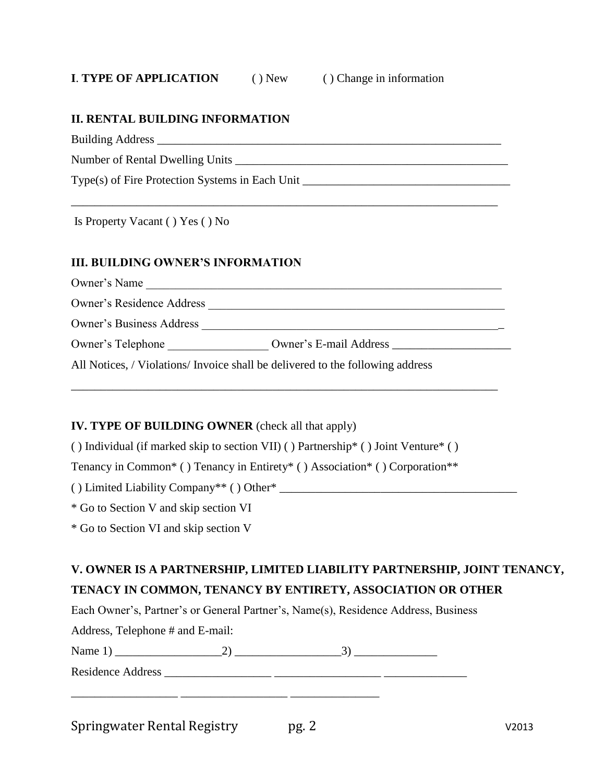### **I**. **TYPE OF APPLICATION** ( ) New ( ) Change in information

\_\_\_\_\_\_\_\_\_\_\_\_\_\_\_\_\_\_\_\_\_\_\_\_\_\_\_\_\_\_\_\_\_\_\_\_\_\_\_\_\_\_\_\_\_\_\_\_\_\_\_\_\_\_\_\_\_\_\_\_\_\_\_\_\_\_\_\_\_\_\_\_

#### **II. RENTAL BUILDING INFORMATION**

Building Address \_\_\_\_\_\_\_\_\_\_\_\_\_\_\_\_\_\_\_\_\_\_\_\_\_\_\_\_\_\_\_\_\_\_\_\_\_\_\_\_\_\_\_\_\_\_\_\_\_\_\_\_\_\_\_\_\_\_

Number of Rental Dwelling Units \_\_\_\_\_\_\_\_\_\_\_\_\_\_\_\_\_\_\_\_\_\_\_\_\_\_\_\_\_\_\_\_\_\_\_\_\_\_\_\_\_\_\_\_\_\_

Type(s) of Fire Protection Systems in Each Unit \_\_\_\_\_\_\_\_\_\_\_\_\_\_\_\_\_\_\_\_\_\_\_\_\_\_\_\_\_\_\_\_\_

Is Property Vacant ( ) Yes ( ) No

#### **III. BUILDING OWNER'S INFORMATION**

Owner's Name

Owner's Residence Address \_\_\_\_\_\_\_\_\_\_\_\_\_\_\_\_\_\_\_\_\_\_\_\_\_\_\_\_\_\_\_\_\_\_\_\_\_\_\_\_\_\_\_\_\_\_\_\_\_\_

Owner's Business Address \_\_\_\_\_\_\_\_\_\_\_\_\_\_\_\_\_\_\_\_\_\_\_\_\_\_\_\_\_\_\_\_\_\_\_\_\_\_\_\_\_\_\_\_\_\_\_\_\_\_\_

Owner's Telephone \_\_\_\_\_\_\_\_\_\_\_\_\_\_\_\_\_ Owner's E-mail Address \_\_\_\_\_\_\_\_\_\_\_\_\_\_\_\_\_\_\_\_

All Notices, / Violations/ Invoice shall be delivered to the following address

#### **IV. TYPE OF BUILDING OWNER** (check all that apply)

( ) Individual (if marked skip to section VII) ( ) Partnership\* ( ) Joint Venture\* ( )

\_\_\_\_\_\_\_\_\_\_\_\_\_\_\_\_\_\_\_\_\_\_\_\_\_\_\_\_\_\_\_\_\_\_\_\_\_\_\_\_\_\_\_\_\_\_\_\_\_\_\_\_\_\_\_\_\_\_\_\_\_\_\_\_\_\_\_\_\_\_\_\_

Tenancy in Common\* ( ) Tenancy in Entirety\* ( ) Association\* ( ) Corporation\*\*

( ) Limited Liability Company\*\* ( ) Other\* \_\_\_\_\_\_\_\_\_\_\_\_\_\_\_\_\_\_\_\_\_\_\_\_\_\_\_\_\_\_\_\_\_\_\_\_\_\_\_\_

\* Go to Section V and skip section VI

\* Go to Section VI and skip section V

# **V. OWNER IS A PARTNERSHIP, LIMITED LIABILITY PARTNERSHIP, JOINT TENANCY,**

## **TENACY IN COMMON, TENANCY BY ENTIRETY, ASSOCIATION OR OTHER**

Each Owner's, Partner's or General Partner's, Name(s), Residence Address, Business

Address, Telephone # and E-mail:

Name 1) \_\_\_\_\_\_\_\_\_\_\_\_\_\_\_\_\_\_2) \_\_\_\_\_\_\_\_\_\_\_\_\_\_\_\_\_\_3) \_\_\_\_\_\_\_\_\_\_\_\_\_\_

Residence Address \_\_\_\_\_\_\_\_\_\_\_\_\_\_\_\_\_\_ \_\_\_\_\_\_\_\_\_\_\_\_\_\_\_\_\_\_ \_\_\_\_\_\_\_\_\_\_\_\_\_\_

\_\_\_\_\_\_\_\_\_\_\_\_\_\_\_\_\_\_ \_\_\_\_\_\_\_\_\_\_\_\_\_\_\_\_\_\_ \_\_\_\_\_\_\_\_\_\_\_\_\_\_\_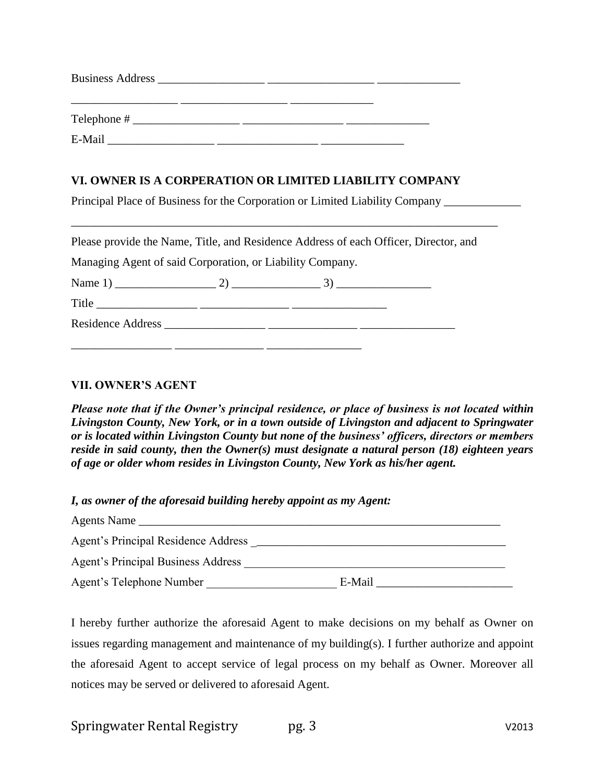| <b>Business Address</b> |  |  |  |
|-------------------------|--|--|--|
|                         |  |  |  |
| Telephone #             |  |  |  |
| E-Mail                  |  |  |  |

### **VI. OWNER IS A CORPERATION OR LIMITED LIABILITY COMPANY**

Principal Place of Business for the Corporation or Limited Liability Company \_\_\_\_\_\_\_\_\_\_\_\_\_

Please provide the Name, Title, and Residence Address of each Officer, Director, and

\_\_\_\_\_\_\_\_\_\_\_\_\_\_\_\_\_\_\_\_\_\_\_\_\_\_\_\_\_\_\_\_\_\_\_\_\_\_\_\_\_\_\_\_\_\_\_\_\_\_\_\_\_\_\_\_\_\_\_\_\_\_\_\_\_\_\_\_\_\_\_\_

Managing Agent of said Corporation, or Liability Company.

Name 1) \_\_\_\_\_\_\_\_\_\_\_\_\_\_\_\_\_ 2) \_\_\_\_\_\_\_\_\_\_\_\_\_\_\_ 3) \_\_\_\_\_\_\_\_\_\_\_\_\_\_\_\_

Title \_\_\_\_\_\_\_\_\_\_\_\_\_\_\_\_\_ \_\_\_\_\_\_\_\_\_\_\_\_\_\_\_ \_\_\_\_\_\_\_\_\_\_\_\_\_\_\_\_ Residence Address \_\_\_\_\_\_\_\_\_\_\_\_\_\_\_\_\_ \_\_\_\_\_\_\_\_\_\_\_\_\_\_\_ \_\_\_\_\_\_\_\_\_\_\_\_\_\_\_\_

 $\frac{1}{2}$  ,  $\frac{1}{2}$  ,  $\frac{1}{2}$  ,  $\frac{1}{2}$  ,  $\frac{1}{2}$  ,  $\frac{1}{2}$  ,  $\frac{1}{2}$ 

#### **VII. OWNER'S AGENT**

*Please note that if the Owner's principal residence, or place of business is not located within Livingston County, New York, or in a town outside of Livingston and adjacent to Springwater or is located within Livingston County but none of the business' officers, directors or members reside in said county, then the Owner(s) must designate a natural person (18) eighteen years of age or older whom resides in Livingston County, New York as his/her agent.*

*I, as owner of the aforesaid building hereby appoint as my Agent:*

| Agents Name                               |        |  |
|-------------------------------------------|--------|--|
| Agent's Principal Residence Address       |        |  |
| <b>Agent's Principal Business Address</b> |        |  |
| Agent's Telephone Number                  | E-Mail |  |

I hereby further authorize the aforesaid Agent to make decisions on my behalf as Owner on issues regarding management and maintenance of my building(s). I further authorize and appoint the aforesaid Agent to accept service of legal process on my behalf as Owner. Moreover all notices may be served or delivered to aforesaid Agent.